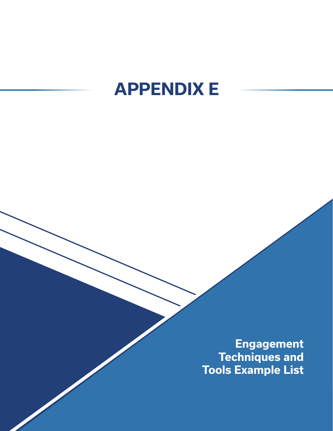## **APPENDIX E**

**Engagement Techniques and Tools Example List**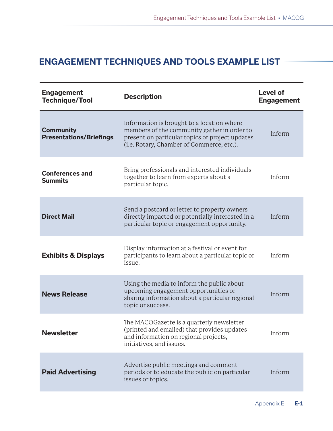## **ENGAGEMENT TECHNIQUES AND TOOLS EXAMPLE LIST**

| <b>Engagement</b><br><b>Technique/Tool</b>         | <b>Description</b>                                                                                                                                                                        | <b>Level of</b><br><b>Engagement</b> |
|----------------------------------------------------|-------------------------------------------------------------------------------------------------------------------------------------------------------------------------------------------|--------------------------------------|
| <b>Community</b><br><b>Presentations/Briefings</b> | Information is brought to a location where<br>members of the community gather in order to<br>present on particular topics or project updates<br>(i.e. Rotary, Chamber of Commerce, etc.). | Inform                               |
| <b>Conferences and</b><br><b>Summits</b>           | Bring professionals and interested individuals<br>together to learn from experts about a<br>particular topic.                                                                             | Inform                               |
| <b>Direct Mail</b>                                 | Send a postcard or letter to property owners<br>directly impacted or potentially interested in a<br>particular topic or engagement opportunity.                                           | Inform                               |
| <b>Exhibits &amp; Displays</b>                     | Display information at a festival or event for<br>participants to learn about a particular topic or<br>issue.                                                                             | Inform                               |
| <b>News Release</b>                                | Using the media to inform the public about<br>upcoming engagement opportunities or<br>sharing information about a particular regional<br>topic or success.                                | Inform                               |
| <b>Newsletter</b>                                  | The MACOGazette is a quarterly newsletter<br>(printed and emailed) that provides updates<br>and information on regional projects,<br>initiatives, and issues.                             | Inform                               |
| <b>Paid Advertising</b>                            | Advertise public meetings and comment<br>periods or to educate the public on particular<br>issues or topics.                                                                              | Inform                               |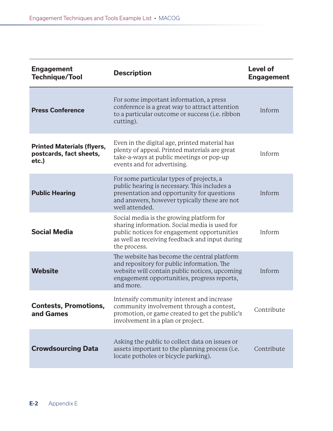| <b>Engagement</b><br><b>Technique/Tool</b>                            | <b>Description</b>                                                                                                                                                                                         | <b>Level of</b><br><b>Engagement</b> |
|-----------------------------------------------------------------------|------------------------------------------------------------------------------------------------------------------------------------------------------------------------------------------------------------|--------------------------------------|
| <b>Press Conference</b>                                               | For some important information, a press<br>conference is a great way to attract attention<br>to a particular outcome or success (i.e. ribbon<br>cutting).                                                  | Inform                               |
| <b>Printed Materials (flyers,</b><br>postcards, fact sheets,<br>etc.) | Even in the digital age, printed material has<br>plenty of appeal. Printed materials are great<br>take-a-ways at public meetings or pop-up<br>events and for advertising.                                  | Inform                               |
| <b>Public Hearing</b>                                                 | For some particular types of projects, a<br>public hearing is necessary. This includes a<br>presentation and opportunity for questions<br>and answers, however typically these are not<br>well attended.   | Inform                               |
| <b>Social Media</b>                                                   | Social media is the growing platform for<br>sharing information. Social media is used for<br>public notices for engagement opportunities<br>as well as receiving feedback and input during<br>the process. | Inform                               |
| <b>Website</b>                                                        | The website has become the central platform<br>and repository for public information. The<br>website will contain public notices, upcoming<br>engagement opportunities, progress reports,<br>and more.     | Inform                               |
| Contests, Promotions,<br>and Games                                    | Intensify community interest and increase<br>community involvement through a contest,<br>promotion, or game created to get the public's<br>involvement in a plan or project.                               | Contribute                           |
| <b>Crowdsourcing Data</b>                                             | Asking the public to collect data on issues or<br>assets important to the planning process (i.e.<br>locate potholes or bicycle parking).                                                                   | Contribute                           |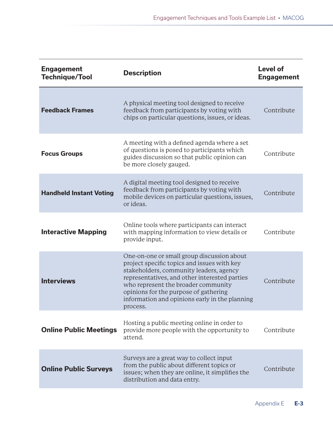| <b>Engagement</b><br><b>Technique/Tool</b> | <b>Description</b>                                                                                                                                                                                                                                                                                                                  | <b>Level of</b><br><b>Engagement</b> |
|--------------------------------------------|-------------------------------------------------------------------------------------------------------------------------------------------------------------------------------------------------------------------------------------------------------------------------------------------------------------------------------------|--------------------------------------|
| <b>Feedback Frames</b>                     | A physical meeting tool designed to receive<br>feedback from participants by voting with<br>chips on particular questions, issues, or ideas.                                                                                                                                                                                        | Contribute                           |
| <b>Focus Groups</b>                        | A meeting with a defined agenda where a set<br>of questions is posed to participants which<br>guides discussion so that public opinion can<br>be more closely gauged.                                                                                                                                                               | Contribute                           |
| <b>Handheld Instant Voting</b>             | A digital meeting tool designed to receive<br>feedback from participants by voting with<br>mobile devices on particular questions, issues,<br>or ideas.                                                                                                                                                                             | Contribute                           |
| <b>Interactive Mapping</b>                 | Online tools where participants can interact<br>with mapping information to view details or<br>provide input.                                                                                                                                                                                                                       | Contribute                           |
| <b>Interviews</b>                          | One-on-one or small group discussion about<br>project specific topics and issues with key<br>stakeholders, community leaders, agency<br>representatives, and other interested parties<br>who represent the broader community<br>opinions for the purpose of gathering<br>information and opinions early in the planning<br>process. | Contribute                           |
| <b>Online Public Meetings</b>              | Hosting a public meeting online in order to<br>provide more people with the opportunity to<br>attend.                                                                                                                                                                                                                               | Contribute                           |
| <b>Online Public Surveys</b>               | Surveys are a great way to collect input<br>from the public about different topics or<br>issues; when they are online, it simplifies the<br>distribution and data entry.                                                                                                                                                            | Contribute                           |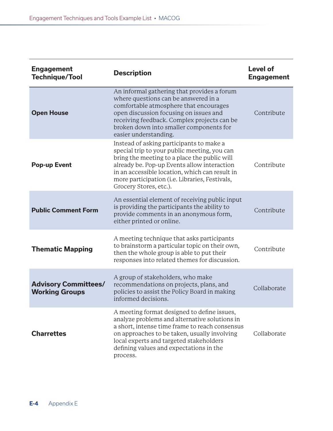| <b>Engagement</b><br><b>Technique/Tool</b>           | <b>Description</b>                                                                                                                                                                                                                                                                                                    | <b>Level of</b><br><b>Engagement</b> |
|------------------------------------------------------|-----------------------------------------------------------------------------------------------------------------------------------------------------------------------------------------------------------------------------------------------------------------------------------------------------------------------|--------------------------------------|
| <b>Open House</b>                                    | An informal gathering that provides a forum<br>where questions can be answered in a<br>comfortable atmosphere that encourages<br>open discussion focusing on issues and<br>receiving feedback. Complex projects can be<br>broken down into smaller components for<br>easier understanding.                            | Contribute                           |
| <b>Pop-up Event</b>                                  | Instead of asking participants to make a<br>special trip to your public meeting, you can<br>bring the meeting to a place the public will<br>already be. Pop-up Events allow interaction<br>in an accessible location, which can result in<br>more participation (i.e. Libraries, Festivals,<br>Grocery Stores, etc.). | Contribute                           |
| <b>Public Comment Form</b>                           | An essential element of receiving public input<br>is providing the participants the ability to<br>provide comments in an anonymous form,<br>either printed or online.                                                                                                                                                 | Contribute                           |
| <b>Thematic Mapping</b>                              | A meeting technique that asks participants<br>to brainstorm a particular topic on their own,<br>then the whole group is able to put their<br>responses into related themes for discussion.                                                                                                                            | Contribute                           |
| <b>Advisory Committees/</b><br><b>Working Groups</b> | A group of stakeholders, who make<br>recommendations on projects, plans, and<br>policies to assist the Policy Board in making<br>informed decisions.                                                                                                                                                                  | Collaborate                          |
| <b>Charrettes</b>                                    | A meeting format designed to define issues,<br>analyze problems and alternative solutions in<br>a short, intense time frame to reach consensus<br>on approaches to be taken, usually involving<br>local experts and targeted stakeholders<br>defining values and expectations in the<br>process.                      | Collaborate                          |